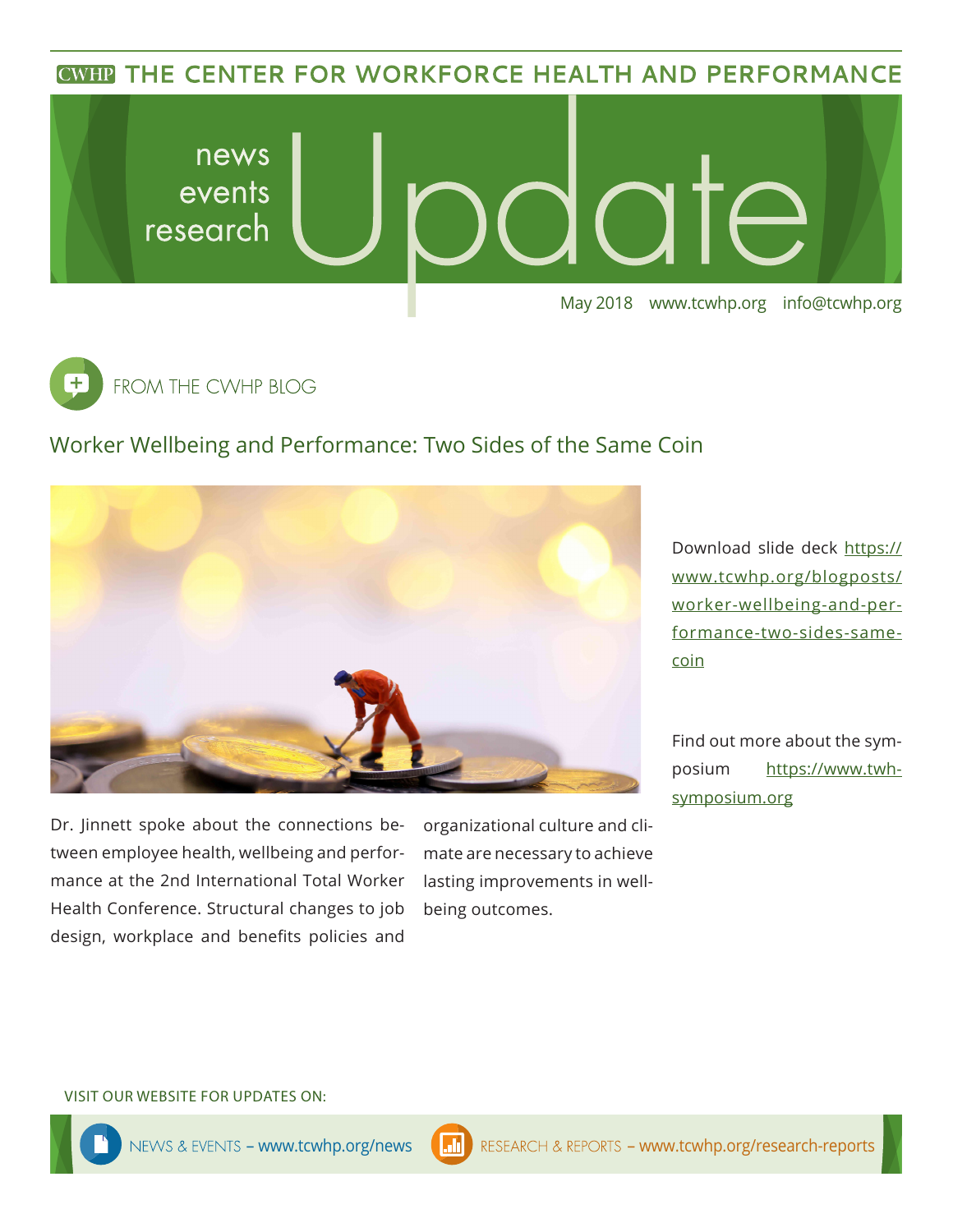**CWHP THE CENTER FOR WORKFORCE HEALTH AND PERFORMANCE** 





## Worker Wellbeing and Performance: Two Sides of the Same Coin



Dr. Jinnett spoke about the connections between employee health, wellbeing and performance at the 2nd International Total Worker Health Conference. Structural changes to job design, workplace and benefits policies and organizational culture and climate are necessary to achieve lasting improvements in wellbeing outcomes.

Download slide deck [https://](https://www.tcwhp.org/blogposts/worker-wellbeing-and-performance-two-sides-same-coin) [www.tcwhp.org/blogposts/](https://www.tcwhp.org/blogposts/worker-wellbeing-and-performance-two-sides-same-coin) [worker-wellbeing-and-per](https://www.tcwhp.org/blogposts/worker-wellbeing-and-performance-two-sides-same-coin)[formance-two-sides-same](https://www.tcwhp.org/blogposts/worker-wellbeing-and-performance-two-sides-same-coin)[coin](https://www.tcwhp.org/blogposts/worker-wellbeing-and-performance-two-sides-same-coin)

Find out more about the symposium [https://www.twh](https://www.twhsymposium.org)[symposium.org](https://www.twhsymposium.org)

#### VISIT OUR WEBSITE FOR UPDATES ON: